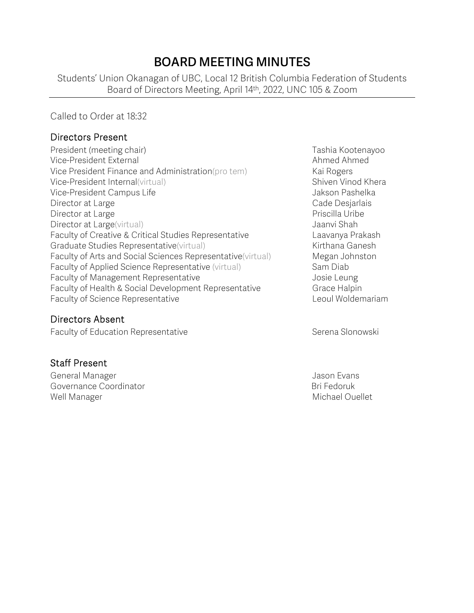# **BOARD MEETING MINUTES**

Students' Union Okanagan of UBC, Local 12 British Columbia Federation of Students Board of Directors Meeting, April 14th, 2022, UNC 105 & Zoom

Called to Order at 18:32

#### Directors Present

President (meeting chair) Tashia Kootenayoo Vice-President External Ahmed Ahmed Ahmed Ahmed Ahmed Ahmed Ahmed Ahmed Ahmed Ahmed Ahmed Ahmed Ahmed Ahmed Ahmed Ahmed Ahmed Ahmed Ahmed Ahmed Ahmed Ahmed Ahmed Ahmed Ahmed Ahmed Ahmed Ahmed Ahmed Ahmed Ahmed Ahmed Ahmed Vice President Finance and Administration(pro tem) Kai Rogers Vice-President Internal(virtual) Shiven Vinod Khera Vice-President Campus Life **Jakson Pashelka** Director at Large **Cade Design and Cade Design and Cade Design and Cade Design and Cade Design and Cade Design and Cade Design and Cade Design and Cade Design and Cade Design and Cade Design and Cade Design and Cade Design** Director at Large **Priscilla Uribe** Priscilla Uribe Director at Large(virtual) and the state of the state of the Jaanvi Shah Faculty of Creative & Critical Studies Representative Laavanya Prakash Graduate Studies Representative(virtual) Manuel Annuel Kirthana Ganesh Faculty of Arts and Social Sciences Representative(virtual) Megan Johnston Faculty of Applied Science Representative (virtual) Sam Diab Faculty of Management Representative **Faculty** of Management Representative Faculty of Health & Social Development Representative Grace Halpin Faculty of Science Representative **Leoul Woldemariam** 

Directors Absent

Faculty of Education Representative **Serena Slonowski** Serena Slonowski

#### Staff Present

General Manager Jason Evans Governance Coordinator **Bri Fedoruk** Bri Fedoruk Well Manager Michael Ouellet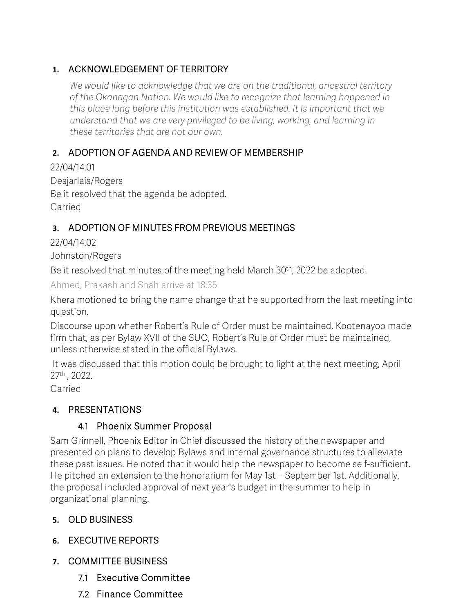### **1.** ACKNOWLEDGEMENT OF TERRITORY

*We would like to acknowledge that we are on the traditional, ancestral territory of the Okanagan Nation. We would like to recognize that learning happened in this place long before this institution was established. It is important that we understand that we are very privileged to be living, working, and learning in these territories that are not our own.*

### **2.** ADOPTION OF AGENDA AND REVIEW OF MEMBERSHIP

22/04/14.01 Desjarlais/Rogers Be it resolved that the agenda be adopted. Carried

### **3.** ADOPTION OF MINUTES FROM PREVIOUS MEETINGS

22/04/14.02

Johnston/Rogers

Be it resolved that minutes of the meeting held March 30<sup>th</sup>, 2022 be adopted.

Ahmed, Prakash and Shah arrive at 18:35

Khera motioned to bring the name change that he supported from the last meeting into question.

Discourse upon whether Robert's Rule of Order must be maintained. Kootenayoo made firm that, as per Bylaw XVII of the SUO, Robert's Rule of Order must be maintained, unless otherwise stated in the official Bylaws.

It was discussed that this motion could be brought to light at the next meeting, April 27th , 2022.

Carried

### **4.** PRESENTATIONS

### 4.1 Phoenix Summer Proposal

Sam Grinnell, Phoenix Editor in Chief discussed the history of the newspaper and presented on plans to develop Bylaws and internal governance structures to alleviate these past issues. He noted that it would help the newspaper to become self-sufficient. He pitched an extension to the honorarium for May 1st – September 1st. Additionally, the proposal included approval of next year's budget in the summer to help in organizational planning.

### **5.** OLD BUSINESS

- **6.** EXECUTIVE REPORTS
- **7.** COMMITTEE BUSINESS
	- 7.1 Executive Committee
	- 7.2 Finance Committee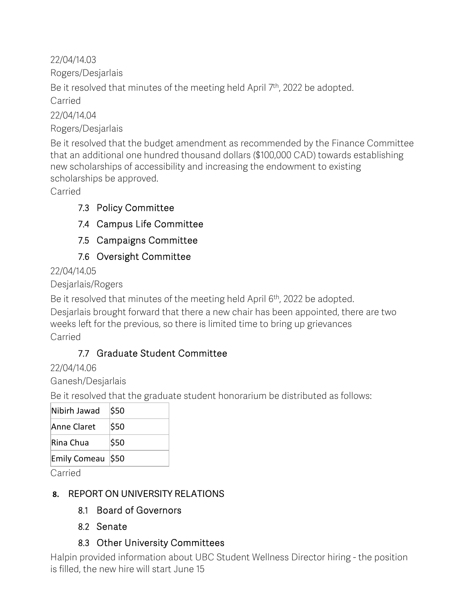22/04/14.03 Rogers/Desjarlais

Be it resolved that minutes of the meeting held April 7<sup>th</sup>, 2022 be adopted. Carried

22/04/14.04 Rogers/Desjarlais

Be it resolved that the budget amendment as recommended by the Finance Committee that an additional one hundred thousand dollars (\$100,000 CAD) towards establishing new scholarships of accessibility and increasing the endowment to existing scholarships be approved.

Carried

## 7.3 Policy Committee

7.4 Campus Life Committee

7.5 Campaigns Committee

7.6 Oversight Committee

22/04/14.05

Desjarlais/Rogers

Be it resolved that minutes of the meeting held April 6<sup>th</sup>, 2022 be adopted.

Desjarlais brought forward that there a new chair has been appointed, there are two weeks left for the previous, so there is limited time to bring up grievances Carried

## 7.7 Graduate Student Committee

22/04/14.06

Ganesh/Desjarlais

Be it resolved that the graduate student honorarium be distributed as follows:

| Nibirh Jawad     | \$50 |
|------------------|------|
| Anne Claret      | \$50 |
| Rina Chua        | \$50 |
| Emily Comeau 550 |      |

Carried

## **8.** REPORT ON UNIVERSITY RELATIONS

- 8.1 Board of Governors
- 8.2 Senate

## 8.3 Other University Committees

Halpin provided information about UBC Student Wellness Director hiring - the position is filled, the new hire will start June 15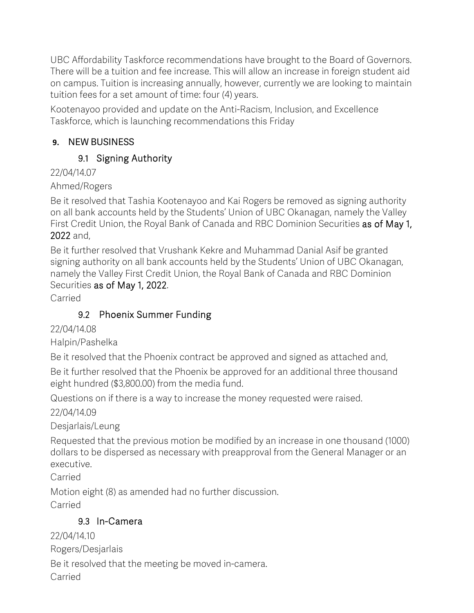UBC Affordability Taskforce recommendations have brought to the Board of Governors. There will be a tuition and fee increase. This will allow an increase in foreign student aid on campus. Tuition is increasing annually, however, currently we are looking to maintain tuition fees for a set amount of time: four (4) years.

Kootenayoo provided and update on the Anti-Racism, Inclusion, and Excellence Taskforce, which is launching recommendations this Friday

### **9.** NEW BUSINESS

## 9.1 Signing Authority

### 22/04/14.07

### Ahmed/Rogers

Be it resolved that Tashia Kootenayoo and Kai Rogers be removed as signing authority on all bank accounts held by the Students' Union of UBC Okanagan, namely the Valley First Credit Union, the Royal Bank of Canada and RBC Dominion Securities as of May 1, 2022 and,

Be it further resolved that Vrushank Kekre and Muhammad Danial Asif be granted signing authority on all bank accounts held by the Students' Union of UBC Okanagan, namely the Valley First Credit Union, the Royal Bank of Canada and RBC Dominion Securities as of May 1, 2022.

Carried

## 9.2 Phoenix Summer Funding

22/04/14.08

Halpin/Pashelka

Be it resolved that the Phoenix contract be approved and signed as attached and,

Be it further resolved that the Phoenix be approved for an additional three thousand eight hundred (\$3,800.00) from the media fund.

Questions on if there is a way to increase the money requested were raised.

22/04/14.09

Desjarlais/Leung

Requested that the previous motion be modified by an increase in one thousand (1000) dollars to be dispersed as necessary with preapproval from the General Manager or an executive.

Carried

Motion eight (8) as amended had no further discussion. Carried

## 9.3 In-Camera

22/04/14.10 Rogers/Desjarlais

Be it resolved that the meeting be moved in-camera.

Carried